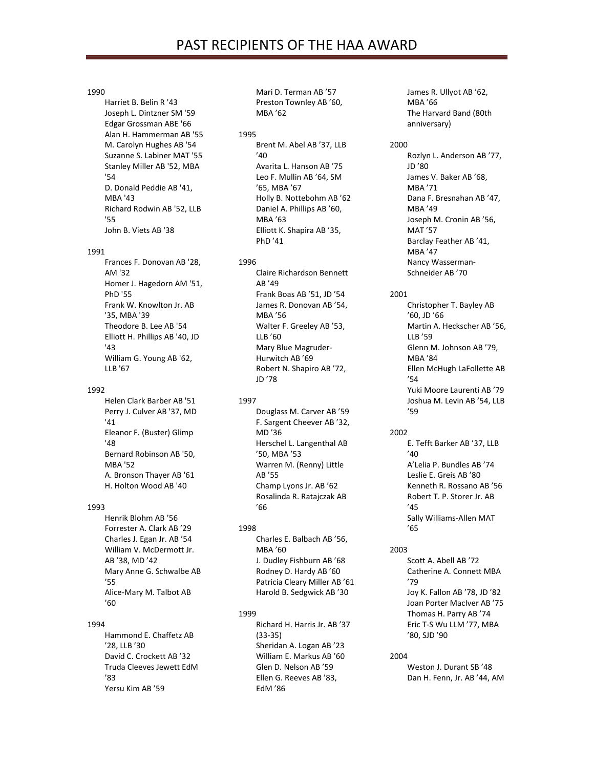#### 1990

Harriet B. Belin R '43 Joseph L. Dintzner SM '59 Edgar Grossman ABE '66 Alan H. Hammerman AB '55 M. Carolyn Hughes AB '54 Suzanne S. Labiner MAT '55 Stanley Miller AB '52, MBA '54 D. Donald Peddie AB '41, MBA '43 Richard Rodwin AB '52, LLB '55 John B. Viets AB '38

#### 1991

Frances F. Donovan AB '28, AM '32 Homer J. Hagedorn AM '51, PhD '55 Frank W. Knowlton Jr. AB '35, MBA '39 Theodore B. Lee AB '54 Elliott H. Phillips AB '40, JD '43 William G. Young AB '62, LLB '67

#### 1992

Helen Clark Barber AB '51 Perry J. Culver AB '37, MD '41 Eleanor F. (Buster) Glimp '48 Bernard Robinson AB '50, MBA '52 A. Bronson Thayer AB '61 H. Holton Wood AB '40

#### 1993

Henrik Blohm AB '56 Forrester A. Clark AB '29 Charles J. Egan Jr. AB '54 William V. McDermott Jr. AB '38, MD '42 Mary Anne G. Schwalbe AB '55 Alice-Mary M. Talbot AB  $'60$ 

#### 1994

Hammond E. Chaffetz AB '28, LLB '30 David C. Crockett AB '32 Truda Cleeves Jewett EdM '83 Yersu Kim AB '59

Mari D. Terman AB '57 Preston Townley AB '60, MBA '62

1995 Brent M. Abel AB '37, LLB  $'40$ Avarita L. Hanson AB '75 Leo F. Mullin AB '64, SM '65, MBA '67 Holly B. Nottebohm AB '62 Daniel A. Phillips AB '60, MBA '63 Elliott K. Shapira AB '35, PhD '41

1996

Claire Richardson Bennett AB '49 Frank Boas AB '51, JD '54 James R. Donovan AB '54, MBA '56 Walter F. Greeley AB '53, LLB '60 Mary Blue Magruder-Hurwitch AB '69 Robert N. Shapiro AB '72, JD '78

# 1997

Douglass M. Carver AB '59 F. Sargent Cheever AB '32, MD '36 Herschel L. Langenthal AB '50, MBA '53 Warren M. (Renny) Little AB '55 Champ Lyons Jr. AB '62 Rosalinda R. Ratajczak AB  $'66$ 

# 1998

Charles E. Balbach AB '56, MBA '60 J. Dudley Fishburn AB '68 Rodney D. Hardy AB '60 Patricia Cleary Miller AB '61 Harold B. Sedgwick AB '30

## 1999

Richard H. Harris Jr. AB '37 (33-35) Sheridan A. Logan AB '23 William E. Markus AB '60 Glen D. Nelson AB '59 Ellen G. Reeves AB '83, EdM '86

James R. Ullyot AB '62, MBA '66 The Harvard Band (80th anniversary)

#### 2000

Rozlyn L. Anderson AB '77, JD '80 James V. Baker AB '68, MBA '71 Dana F. Bresnahan AB '47, MBA '49 Joseph M. Cronin AB '56, MAT '57 Barclay Feather AB '41, MBA '47 Nancy Wasserman-Schneider AB '70

#### 2001

Christopher T. Bayley AB '60, JD '66 Martin A. Heckscher AB '56, LLB '59 Glenn M. Johnson AB '79, MBA '84 Ellen McHugh LaFollette AB  $'54$ Yuki Moore Laurenti AB '79 Joshua M. Levin AB '54, LLB '59

#### 2002

E. Tefft Barker AB '37, LLB '40 A'Lelia P. Bundles AB '74 Leslie E. Greis AB '80 Kenneth R. Rossano AB '56 Robert T. P. Storer Jr. AB  $'45$ Sally Williams-Allen MAT '65

#### 2003

Scott A. Abell AB '72 Catherine A. Connett MBA '79 Joy K. Fallon AB '78, JD '82 Joan Porter MacIver AB '75 Thomas H. Parry AB '74 Eric T-S Wu LLM '77, MBA '80, SJD '90

#### 2004

Weston J. Durant SB '48 Dan H. Fenn, Jr. AB '44, AM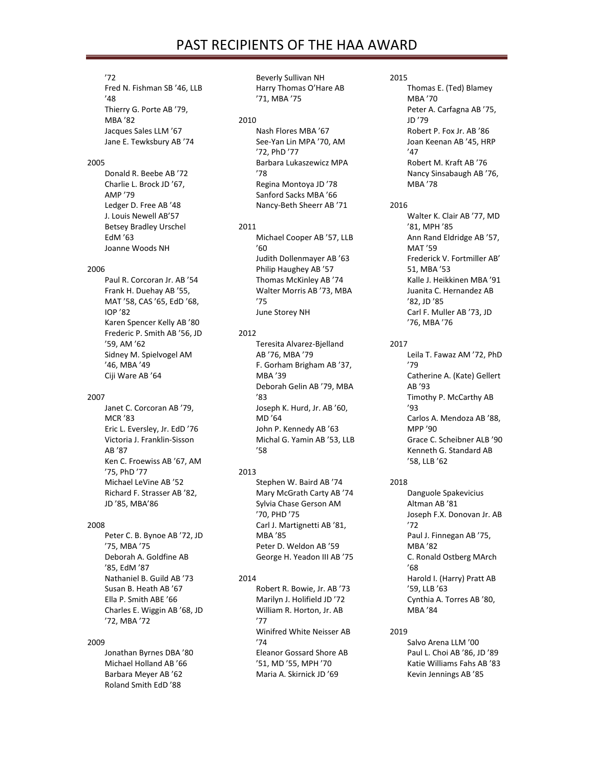# PAST RECIPIENTS OF THE HAA AWARD

#### '72

Fred N. Fishman SB '46, LLB '48 Thierry G. Porte AB '79, MBA '82 Jacques Sales LLM '67 Jane E. Tewksbury AB '74

#### 2005

Donald R. Beebe AB '72 Charlie L. Brock JD '67, AMP '79 Ledger D. Free AB '48 J. Louis Newell AB'57 Betsey Bradley Urschel EdM '63 Joanne Woods NH

#### 2006

Paul R. Corcoran Jr. AB '54 Frank H. Duehay AB '55, MAT '58, CAS '65, EdD '68, IOP '82 Karen Spencer Kelly AB '80 Frederic P. Smith AB '56, JD '59, AM '62 Sidney M. Spielvogel AM '46, MBA '49 Ciji Ware AB '64

#### 2007

Janet C. Corcoran AB '79, MCR '83 Eric L. Eversley, Jr. EdD '76 Victoria J. Franklin-Sisson AB '87 Ken C. Froewiss AB '67, AM '75, PhD '77 Michael LeVine AB '52 Richard F. Strasser AB '82, JD '85, MBA'86

## 2008

Peter C. B. Bynoe AB '72, JD '75, MBA '75 Deborah A. Goldfine AB '85, EdM '87 Nathaniel B. Guild AB '73 Susan B. Heath AB '67 Ella P. Smith ABE '66 Charles E. Wiggin AB '68, JD '72, MBA '72

## 2009

Jonathan Byrnes DBA '80 Michael Holland AB '66 Barbara Meyer AB '62 Roland Smith EdD '88

Beverly Sullivan NH Harry Thomas O'Hare AB '71, MBA '75

#### 2010

Nash Flores MBA '67 See-Yan Lin MPA '70, AM '72, PhD '77 Barbara Lukaszewicz MPA '78 Regina Montoya JD '78 Sanford Sacks MBA '66 Nancy-Beth Sheerr AB '71

#### 2011

Michael Cooper AB '57, LLB '60 Judith Dollenmayer AB '63 Philip Haughey AB '57 Thomas McKinley AB '74 Walter Morris AB '73, MBA '75 June Storey NH

# 2012

Teresita Alvarez-Bjelland AB '76, MBA '79 F. Gorham Brigham AB '37, MBA '39 Deborah Gelin AB '79, MBA '83 Joseph K. Hurd, Jr. AB '60, MD '64 John P. Kennedy AB '63 Michal G. Yamin AB '53, LLB '58

# 2013

Stephen W. Baird AB '74 Mary McGrath Carty AB '74 Sylvia Chase Gerson AM '70, PHD '75 Carl J. Martignetti AB '81, MBA '85 Peter D. Weldon AB '59 George H. Yeadon III AB '75

# 2014

Robert R. Bowie, Jr. AB '73 Marilyn J. Holifield JD '72 William R. Horton, Jr. AB '77 Winifred White Neisser AB '74 Eleanor Gossard Shore AB '51, MD '55, MPH '70 Maria A. Skirnick JD '69

# 2015

Thomas E. (Ted) Blamey MBA '70 Peter A. Carfagna AB '75, JD '79 Robert P. Fox Jr. AB '86 Joan Keenan AB '45, HRP '47 Robert M. Kraft AB '76 Nancy Sinsabaugh AB '76, MBA '78

## 2016

Walter K. Clair AB '77, MD '81, MPH '85 Ann Rand Eldridge AB '57, MAT '59 Frederick V. Fortmiller AB' 51, MBA '53 Kalle J. Heikkinen MBA '91 Juanita C. Hernandez AB '82, JD '85 Carl F. Muller AB '73, JD '76, MBA '76

# 2017

Leila T. Fawaz AM '72, PhD '79 Catherine A. (Kate) Gellert AB '93 Timothy P. McCarthy AB '93 Carlos A. Mendoza AB '88, MPP '90 Grace C. Scheibner ALB '90 Kenneth G. Standard AB '58, LLB '62

# 2018

Danguole Spakevicius Altman AB '81 Joseph F.X. Donovan Jr. AB '72 Paul J. Finnegan AB '75, MBA '82 C. Ronald Ostberg MArch '68 Harold I. (Harry) Pratt AB '59, LLB '63 Cynthia A. Torres AB '80, MBA '84

## 2019

Salvo Arena LLM '00 Paul L. Choi AB '86, JD '89 Katie Williams Fahs AB '83 Kevin Jennings AB '85